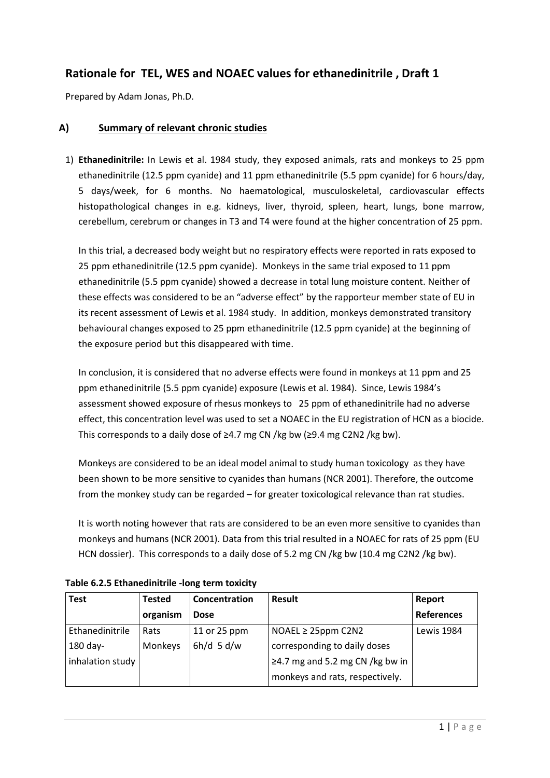# **Rationale for TEL, WES and NOAEC values for ethanedinitrile , Draft 1**

Prepared by Adam Jonas, Ph.D.

#### **A) Summary of relevant chronic studies**

1) **Ethanedinitrile:** In Lewis et al. 1984 study, they exposed animals, rats and monkeys to 25 ppm ethanedinitrile (12.5 ppm cyanide) and 11 ppm ethanedinitrile (5.5 ppm cyanide) for 6 hours/day, 5 days/week, for 6 months. No haematological, musculoskeletal, cardiovascular effects histopathological changes in e.g. kidneys, liver, thyroid, spleen, heart, lungs, bone marrow, cerebellum, cerebrum or changes in T3 and T4 were found at the higher concentration of 25 ppm.

In this trial, a decreased body weight but no respiratory effects were reported in rats exposed to 25 ppm ethanedinitrile (12.5 ppm cyanide). Monkeys in the same trial exposed to 11 ppm ethanedinitrile (5.5 ppm cyanide) showed a decrease in total lung moisture content. Neither of these effects was considered to be an "adverse effect" by the rapporteur member state of EU in its recent assessment of Lewis et al. 1984 study. In addition, monkeys demonstrated transitory behavioural changes exposed to 25 ppm ethanedinitrile (12.5 ppm cyanide) at the beginning of the exposure period but this disappeared with time.

In conclusion, it is considered that no adverse effects were found in monkeys at 11 ppm and 25 ppm ethanedinitrile (5.5 ppm cyanide) exposure (Lewis et al. 1984). Since, Lewis 1984's assessment showed exposure of rhesus monkeys to 25 ppm of ethanedinitrile had no adverse effect, this concentration level was used to set a NOAEC in the EU registration of HCN as a biocide. This corresponds to a daily dose of  $\geq$ 4.7 mg CN /kg bw ( $\geq$ 9.4 mg C2N2 /kg bw).

Monkeys are considered to be an ideal model animal to study human toxicology as they have been shown to be more sensitive to cyanides than humans (NCR 2001). Therefore, the outcome from the monkey study can be regarded – for greater toxicological relevance than rat studies.

It is worth noting however that rats are considered to be an even more sensitive to cyanides than monkeys and humans (NCR 2001). Data from this trial resulted in a NOAEC for rats of 25 ppm (EU HCN dossier). This corresponds to a daily dose of 5.2 mg CN /kg bw (10.4 mg C2N2 /kg bw).

| <b>Test</b>      | <b>Tested</b> | Concentration | <b>Result</b>                         | Report            |
|------------------|---------------|---------------|---------------------------------------|-------------------|
|                  | organism      | <b>Dose</b>   |                                       | <b>References</b> |
| Ethanedinitrile  | Rats          | 11 or 25 ppm  | $NOAEL \geq 25$ ppm C2N2              | Lewis 1984        |
| 180 day-         | Monkeys       | $6h/d$ 5 d/w  | corresponding to daily doses          |                   |
| inhalation study |               |               | $\geq$ 4.7 mg and 5.2 mg CN /kg bw in |                   |
|                  |               |               | monkeys and rats, respectively.       |                   |

**Table 6.2.5 Ethanedinitrile -long term toxicity**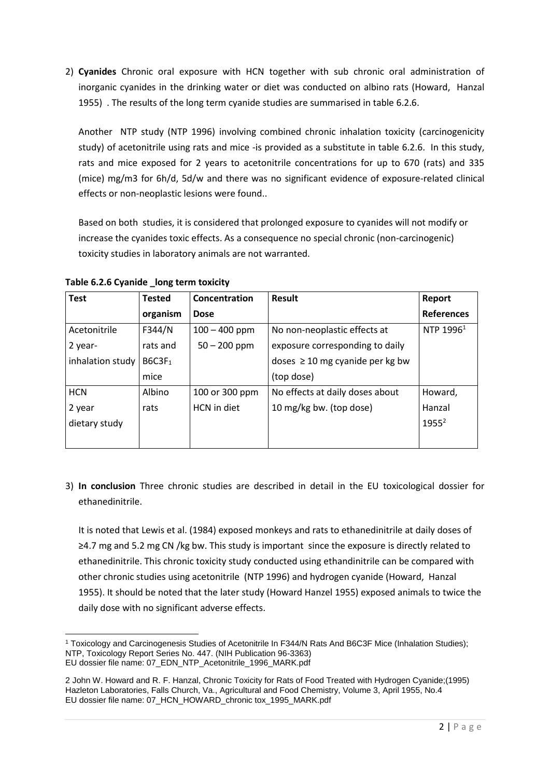2) **Cyanides** Chronic oral exposure with HCN together with sub chronic oral administration of inorganic cyanides in the drinking water or diet was conducted on albino rats (Howard, Hanzal 1955) . The results of the long term cyanide studies are summarised in table 6.2.6.

Another NTP study (NTP 1996) involving combined chronic inhalation toxicity (carcinogenicity study) of acetonitrile using rats and mice -is provided as a substitute in table 6.2.6. In this study, rats and mice exposed for 2 years to acetonitrile concentrations for up to 670 (rats) and 335 (mice) mg/m3 for 6h/d, 5d/w and there was no significant evidence of exposure-related clinical effects or non-neoplastic lesions were found..

Based on both studies, it is considered that prolonged exposure to cyanides will not modify or increase the cyanides toxic effects. As a consequence no special chronic (non-carcinogenic) toxicity studies in laboratory animals are not warranted.

| <b>Test</b>      | <b>Tested</b>      | Concentration   | Result                               | Report            |
|------------------|--------------------|-----------------|--------------------------------------|-------------------|
|                  | organism           | <b>Dose</b>     |                                      | <b>References</b> |
| Acetonitrile     | F344/N             | $100 - 400$ ppm | No non-neoplastic effects at         | NTP $1996^1$      |
| 2 year-          | rats and           | $50 - 200$ ppm  | exposure corresponding to daily      |                   |
| inhalation study | B6C3F <sub>1</sub> |                 | doses $\geq 10$ mg cyanide per kg bw |                   |
|                  | mice               |                 | (top dose)                           |                   |
| <b>HCN</b>       | Albino             | 100 or 300 ppm  | No effects at daily doses about      | Howard,           |
| 2 year           | rats               | HCN in diet     | 10 mg/kg bw. (top dose)              | Hanzal            |
| dietary study    |                    |                 |                                      | $1955^2$          |
|                  |                    |                 |                                      |                   |

**Table 6.2.6 Cyanide \_long term toxicity**

3) **In conclusion** Three chronic studies are described in detail in the EU toxicological dossier for ethanedinitrile.

It is noted that Lewis et al. (1984) exposed monkeys and rats to ethanedinitrile at daily doses of ≥4.7 mg and 5.2 mg CN /kg bw. This study is important since the exposure is directly related to ethanedinitrile. This chronic toxicity study conducted using ethandinitrile can be compared with other chronic studies using acetonitrile (NTP 1996) and hydrogen cyanide (Howard, Hanzal 1955). It should be noted that the later study (Howard Hanzel 1955) exposed animals to twice the daily dose with no significant adverse effects.

**<sup>.</sup>** <sup>1</sup> Toxicology and Carcinogenesis Studies of Acetonitrile In F344/N Rats And B6C3F Mice (Inhalation Studies); NTP, Toxicology Report Series No. 447. (NIH Publication 96-3363) EU dossier file name: 07\_EDN\_NTP\_Acetonitrile\_1996\_MARK.pdf

<sup>2</sup> John W. Howard and R. F. Hanzal, Chronic Toxicity for Rats of Food Treated with Hydrogen Cyanide;(1995) Hazleton Laboratories, Falls Church, Va., Agricultural and Food Chemistry, Volume 3, April 1955, No.4 EU dossier file name: 07\_HCN\_HOWARD\_chronic tox\_1995\_MARK.pdf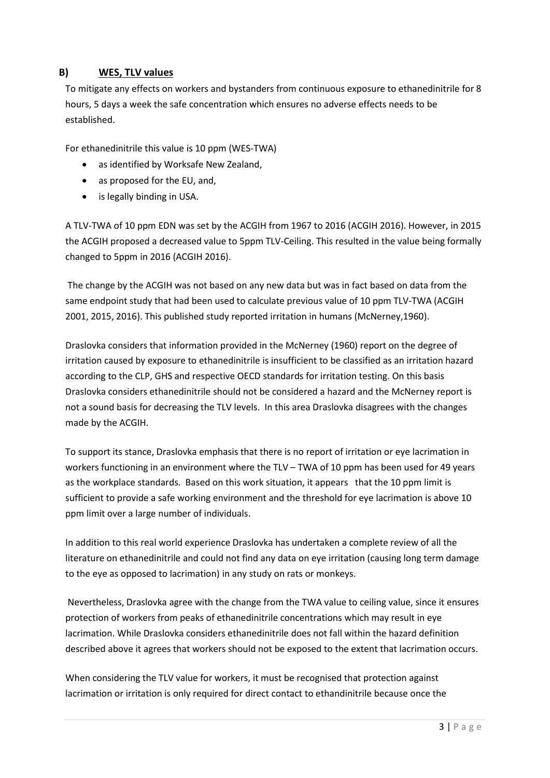### **B) WES, TLV values**

To mitigate any effects on workers and bystanders from continuous exposure to ethanedinitrile for 8 hours, 5 days a week the safe concentration which ensures no adverse effects needs to be established.

For ethanedinitrile this value is 10 ppm (WES-TWA)

- as identified by Worksafe New Zealand,
- as proposed for the EU, and,
- is legally binding in USA.

A TLV-TWA of 10 ppm EDN was set by the ACGIH from 1967 to 2016 (ACGIH 2016). However, in 2015 the ACGIH proposed a decreased value to 5ppm TLV-Ceiling. This resulted in the value being formally changed to 5ppm in 2016 (ACGIH 2016).

The change by the ACGIH was not based on any new data but was in fact based on data from the same endpoint study that had been used to calculate previous value of 10 ppm TLV-TWA (ACGIH 2001, 2015, 2016). This published study reported irritation in humans (McNerney,1960).

Draslovka considers that information provided in the McNerney (1960) report on the degree of irritation caused by exposure to ethanedinitrile is insufficient to be classified as an irritation hazard according to the CLP, GHS and respective OECD standards for irritation testing. On this basis Draslovka considers ethanedinitrile should not be considered a hazard and the McNerney report is not a sound basis for decreasing the TLV levels. In this area Draslovka disagrees with the changes made by the ACGIH.

To support its stance, Draslovka emphasis that there is no report of irritation or eye lacrimation in workers functioning in an environment where the TLV – TWA of 10 ppm has been used for 49 years as the workplace standards. Based on this work situation, it appears that the 10 ppm limit is sufficient to provide a safe working environment and the threshold for eye lacrimation is above 10 ppm limit over a large number of individuals.

In addition to this real world experience Draslovka has undertaken a complete review of all the literature on ethanedinitrile and could not find any data on eye irritation (causing long term damage to the eye as opposed to lacrimation) in any study on rats or monkeys.

Nevertheless, Draslovka agree with the change from the TWA value to ceiling value, since it ensures protection of workers from peaks of ethanedinitrile concentrations which may result in eye lacrimation. While Draslovka considers ethanedinitrile does not fall within the hazard definition described above it agrees that workers should not be exposed to the extent that lacrimation occurs.

When considering the TLV value for workers, it must be recognised that protection against lacrimation or irritation is only required for direct contact to ethandinitrile because once the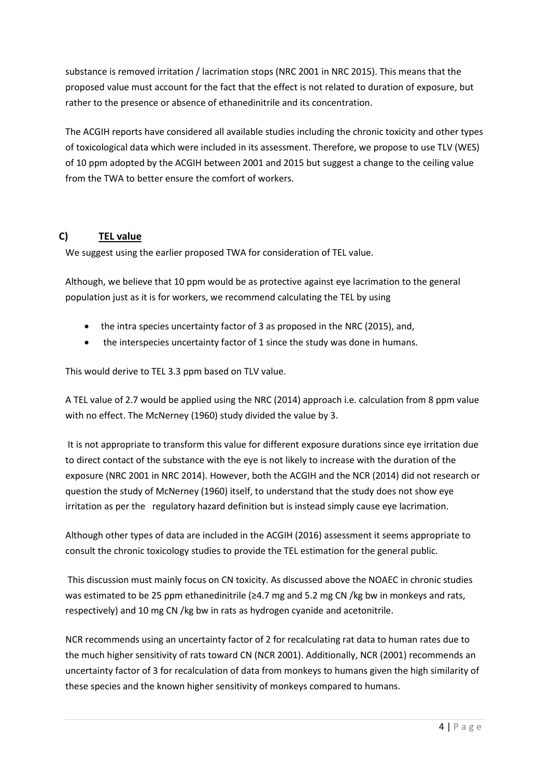substance is removed irritation / lacrimation stops (NRC 2001 in NRC 2015). This means that the proposed value must account for the fact that the effect is not related to duration of exposure, but rather to the presence or absence of ethanedinitrile and its concentration.

The ACGIH reports have considered all available studies including the chronic toxicity and other types of toxicological data which were included in its assessment. Therefore, we propose to use TLV (WES) of 10 ppm adopted by the ACGIH between 2001 and 2015 but suggest a change to the ceiling value from the TWA to better ensure the comfort of workers.

## **C) TEL value**

We suggest using the earlier proposed TWA for consideration of TEL value.

Although, we believe that 10 ppm would be as protective against eye lacrimation to the general population just as it is for workers, we recommend calculating the TEL by using

- the intra species uncertainty factor of 3 as proposed in the NRC (2015), and,
- the interspecies uncertainty factor of 1 since the study was done in humans.

This would derive to TEL 3.3 ppm based on TLV value.

A TEL value of 2.7 would be applied using the NRC (2014) approach i.e. calculation from 8 ppm value with no effect. The McNerney (1960) study divided the value by 3.

It is not appropriate to transform this value for different exposure durations since eye irritation due to direct contact of the substance with the eye is not likely to increase with the duration of the exposure (NRC 2001 in NRC 2014). However, both the ACGIH and the NCR (2014) did not research or question the study of McNerney (1960) itself, to understand that the study does not show eye irritation as per the regulatory hazard definition but is instead simply cause eye lacrimation.

Although other types of data are included in the ACGIH (2016) assessment it seems appropriate to consult the chronic toxicology studies to provide the TEL estimation for the general public.

This discussion must mainly focus on CN toxicity. As discussed above the NOAEC in chronic studies was estimated to be 25 ppm ethanedinitrile ( $\geq$ 4.7 mg and 5.2 mg CN /kg bw in monkeys and rats, respectively) and 10 mg CN /kg bw in rats as hydrogen cyanide and acetonitrile.

NCR recommends using an uncertainty factor of 2 for recalculating rat data to human rates due to the much higher sensitivity of rats toward CN (NCR 2001). Additionally, NCR (2001) recommends an uncertainty factor of 3 for recalculation of data from monkeys to humans given the high similarity of these species and the known higher sensitivity of monkeys compared to humans.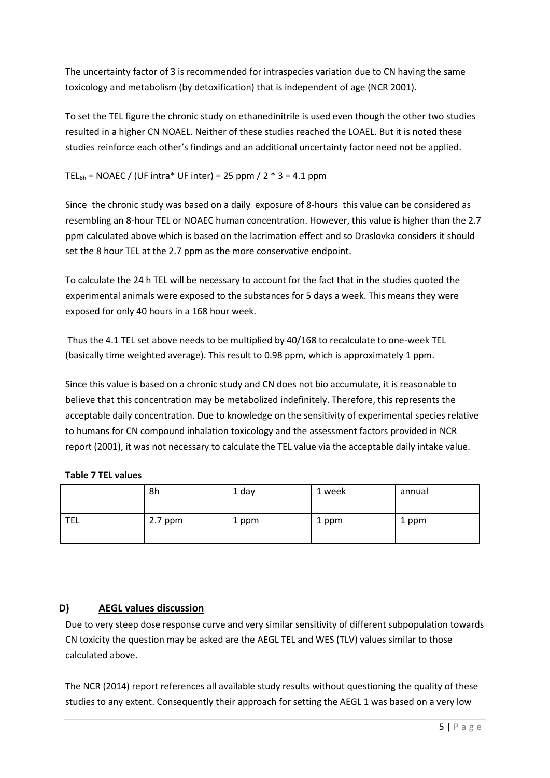The uncertainty factor of 3 is recommended for intraspecies variation due to CN having the same toxicology and metabolism (by detoxification) that is independent of age (NCR 2001).

To set the TEL figure the chronic study on ethanedinitrile is used even though the other two studies resulted in a higher CN NOAEL. Neither of these studies reached the LOAEL. But it is noted these studies reinforce each other's findings and an additional uncertainty factor need not be applied.

### TEL<sub>8h</sub> = NOAEC / (UF intra\* UF inter) = 25 ppm / 2  $*$  3 = 4.1 ppm

Since the chronic study was based on a daily exposure of 8-hours this value can be considered as resembling an 8-hour TEL or NOAEC human concentration. However, this value is higher than the 2.7 ppm calculated above which is based on the lacrimation effect and so Draslovka considers it should set the 8 hour TEL at the 2.7 ppm as the more conservative endpoint.

To calculate the 24 h TEL will be necessary to account for the fact that in the studies quoted the experimental animals were exposed to the substances for 5 days a week. This means they were exposed for only 40 hours in a 168 hour week.

Thus the 4.1 TEL set above needs to be multiplied by 40/168 to recalculate to one-week TEL (basically time weighted average). This result to 0.98 ppm, which is approximately 1 ppm.

Since this value is based on a chronic study and CN does not bio accumulate, it is reasonable to believe that this concentration may be metabolized indefinitely. Therefore, this represents the acceptable daily concentration. Due to knowledge on the sensitivity of experimental species relative to humans for CN compound inhalation toxicology and the assessment factors provided in NCR report (2001), it was not necessary to calculate the TEL value via the acceptable daily intake value.

|            | 8h        | 1 day | 1 week | annual |
|------------|-----------|-------|--------|--------|
| <b>TEL</b> | $2.7$ ppm | 1 ppm | 1 ppm  | 1 ppm  |

## **D) AEGL values discussion**

Due to very steep dose response curve and very similar sensitivity of different subpopulation towards CN toxicity the question may be asked are the AEGL TEL and WES (TLV) values similar to those calculated above.

The NCR (2014) report references all available study results without questioning the quality of these studies to any extent. Consequently their approach for setting the AEGL 1 was based on a very low